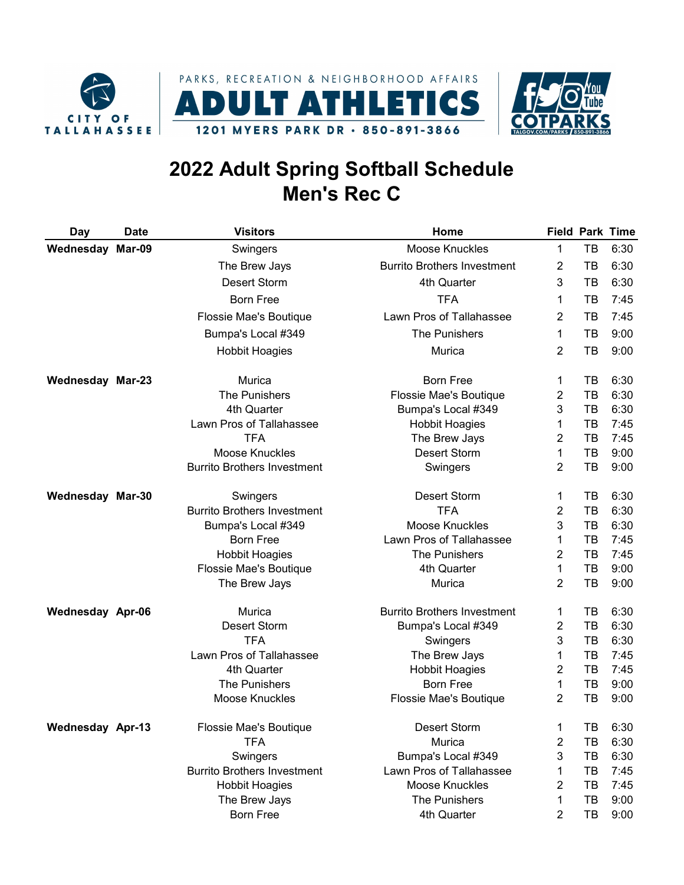





## 2022 Adult Spring Softball Schedule Men's Rec C

| Day                     | <b>Date</b> | <b>Visitors</b>                     | Home                               |                |          | <b>Field Park Time</b> |
|-------------------------|-------------|-------------------------------------|------------------------------------|----------------|----------|------------------------|
| <b>Wednesday Mar-09</b> |             | Swingers                            | <b>Moose Knuckles</b>              | $\mathbf{1}$   | TB       | 6:30                   |
|                         |             | The Brew Jays                       | <b>Burrito Brothers Investment</b> | $\overline{2}$ | TB       | 6:30                   |
|                         |             | Desert Storm                        | 4th Quarter                        | 3              | ТB       | 6:30                   |
|                         |             | <b>Born Free</b>                    | <b>TFA</b>                         | 1              | TВ       | 7:45                   |
|                         |             | Flossie Mae's Boutique              | Lawn Pros of Tallahassee           | $\overline{2}$ | тв       | 7:45                   |
|                         |             | Bumpa's Local #349                  | The Punishers                      | 1              | TB       | 9:00                   |
|                         |             | <b>Hobbit Hoagies</b>               | Murica                             | $\overline{2}$ | тв       | 9:00                   |
|                         |             |                                     | <b>Born Free</b>                   |                |          |                        |
| <b>Wednesday Mar-23</b> |             | Murica<br><b>The Punishers</b>      | Flossie Mae's Boutique             | 1              | TВ<br>TB | 6:30<br>6:30           |
|                         |             | 4th Quarter                         |                                    | 2              |          | 6:30                   |
|                         |             | Lawn Pros of Tallahassee            | Bumpa's Local #349                 | 3              | ТB<br>TВ | 7:45                   |
|                         |             |                                     | <b>Hobbit Hoagies</b>              | 1              |          |                        |
|                         |             | <b>TFA</b><br><b>Moose Knuckles</b> | The Brew Jays                      | $\overline{2}$ | TB       | 7:45                   |
|                         |             |                                     | <b>Desert Storm</b>                | 1              | TB       | 9:00                   |
|                         |             | <b>Burrito Brothers Investment</b>  | Swingers                           | $\overline{2}$ | TB       | 9:00                   |
| <b>Wednesday Mar-30</b> |             | Swingers                            | <b>Desert Storm</b>                | 1              | TB       | 6:30                   |
|                         |             | <b>Burrito Brothers Investment</b>  | <b>TFA</b>                         | $\overline{2}$ | TB       | 6:30                   |
|                         |             | Bumpa's Local #349                  | Moose Knuckles                     | 3              | TВ       | 6:30                   |
|                         |             | <b>Born Free</b>                    | Lawn Pros of Tallahassee           | 1              | TB       | 7:45                   |
|                         |             | <b>Hobbit Hoagies</b>               | The Punishers                      | $\overline{2}$ | TB       | 7:45                   |
|                         |             | Flossie Mae's Boutique              | 4th Quarter                        | 1              | TB       | 9:00                   |
|                         |             | The Brew Jays                       | Murica                             | 2              | TB       | 9:00                   |
| <b>Wednesday Apr-06</b> |             | Murica                              | <b>Burrito Brothers Investment</b> | 1              | TВ       | 6:30                   |
|                         |             | Desert Storm                        | Bumpa's Local #349                 | $\overline{c}$ | TB       | 6:30                   |
|                         |             | <b>TFA</b>                          | Swingers                           | 3              | TB       | 6:30                   |
|                         |             | Lawn Pros of Tallahassee            | The Brew Jays                      | 1              | TB       | 7:45                   |
|                         |             | 4th Quarter                         | <b>Hobbit Hoagies</b>              | $\overline{2}$ | TB       | 7:45                   |
|                         |             | The Punishers                       | <b>Born Free</b>                   | 1              | TB       | 9:00                   |
|                         |             | <b>Moose Knuckles</b>               | Flossie Mae's Boutique             | $\overline{2}$ | ТB       | 9:00                   |
| Wednesday Apr-13        |             | Flossie Mae's Boutique              | Desert Storm                       | 1              | TB       | 6:30                   |
|                         |             | <b>TFA</b>                          | Murica                             | $\overline{2}$ | TB       | 6:30                   |
|                         |             | Swingers                            | Bumpa's Local #349                 | 3              | TB       | 6:30                   |
|                         |             | <b>Burrito Brothers Investment</b>  | Lawn Pros of Tallahassee           | 1              | TB       | 7:45                   |
|                         |             | <b>Hobbit Hoagies</b>               | <b>Moose Knuckles</b>              | 2              | TB       | 7:45                   |
|                         |             | The Brew Jays                       | The Punishers                      | 1              | TB       | 9:00                   |
|                         |             | <b>Born Free</b>                    | 4th Quarter                        | 2              | TB       | 9:00                   |